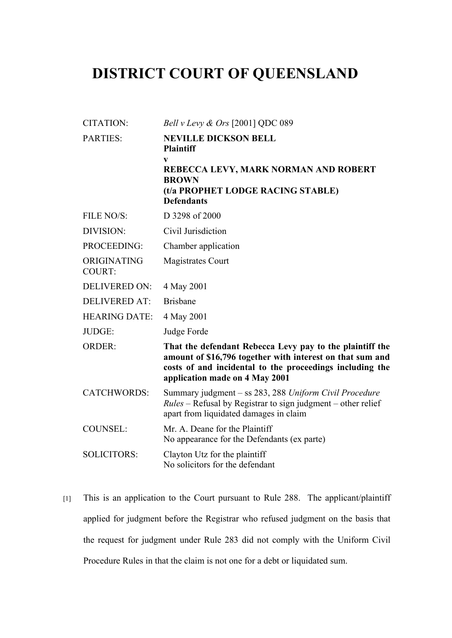## **DISTRICT COURT OF QUEENSLAND**

| <b>CITATION:</b>             | Bell v Levy & Ors [2001] QDC 089                                                                                                                                                                                    |
|------------------------------|---------------------------------------------------------------------------------------------------------------------------------------------------------------------------------------------------------------------|
| <b>PARTIES:</b>              | <b>NEVILLE DICKSON BELL</b><br><b>Plaintiff</b>                                                                                                                                                                     |
|                              | V<br>REBECCA LEVY, MARK NORMAN AND ROBERT<br><b>BROWN</b><br>(t/a PROPHET LODGE RACING STABLE)<br><b>Defendants</b>                                                                                                 |
| FILE NO/S:                   | D 3298 of 2000                                                                                                                                                                                                      |
| DIVISION:                    | Civil Jurisdiction                                                                                                                                                                                                  |
| PROCEEDING:                  | Chamber application                                                                                                                                                                                                 |
| ORIGINATING<br><b>COURT:</b> | <b>Magistrates Court</b>                                                                                                                                                                                            |
| <b>DELIVERED ON:</b>         | 4 May 2001                                                                                                                                                                                                          |
| <b>DELIVERED AT:</b>         | <b>Brisbane</b>                                                                                                                                                                                                     |
| <b>HEARING DATE:</b>         | 4 May 2001                                                                                                                                                                                                          |
| JUDGE:                       | Judge Forde                                                                                                                                                                                                         |
| <b>ORDER:</b>                | That the defendant Rebecca Levy pay to the plaintiff the<br>amount of \$16,796 together with interest on that sum and<br>costs of and incidental to the proceedings including the<br>application made on 4 May 2001 |
| <b>CATCHWORDS:</b>           | Summary judgment - ss 283, 288 Uniform Civil Procedure<br>$Rules$ – Refusal by Registrar to sign judgment – other relief<br>apart from liquidated damages in claim                                                  |
| <b>COUNSEL:</b>              | Mr. A. Deane for the Plaintiff<br>No appearance for the Defendants (ex parte)                                                                                                                                       |
| <b>SOLICITORS:</b>           | Clayton Utz for the plaintiff<br>No solicitors for the defendant                                                                                                                                                    |

[1] This is an application to the Court pursuant to Rule 288. The applicant/plaintiff applied for judgment before the Registrar who refused judgment on the basis that the request for judgment under Rule 283 did not comply with the Uniform Civil Procedure Rules in that the claim is not one for a debt or liquidated sum.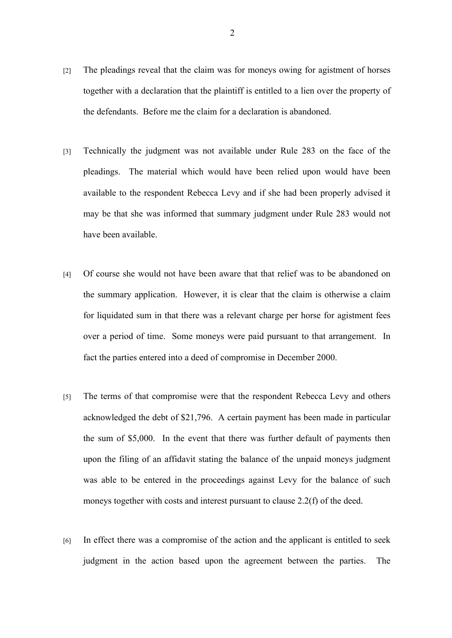- [2] The pleadings reveal that the claim was for moneys owing for agistment of horses together with a declaration that the plaintiff is entitled to a lien over the property of the defendants. Before me the claim for a declaration is abandoned.
- [3] Technically the judgment was not available under Rule 283 on the face of the pleadings. The material which would have been relied upon would have been available to the respondent Rebecca Levy and if she had been properly advised it may be that she was informed that summary judgment under Rule 283 would not have been available.
- [4] Of course she would not have been aware that that relief was to be abandoned on the summary application. However, it is clear that the claim is otherwise a claim for liquidated sum in that there was a relevant charge per horse for agistment fees over a period of time. Some moneys were paid pursuant to that arrangement. In fact the parties entered into a deed of compromise in December 2000.
- [5] The terms of that compromise were that the respondent Rebecca Levy and others acknowledged the debt of \$21,796. A certain payment has been made in particular the sum of \$5,000. In the event that there was further default of payments then upon the filing of an affidavit stating the balance of the unpaid moneys judgment was able to be entered in the proceedings against Levy for the balance of such moneys together with costs and interest pursuant to clause 2.2(f) of the deed.
- [6] In effect there was a compromise of the action and the applicant is entitled to seek judgment in the action based upon the agreement between the parties. The